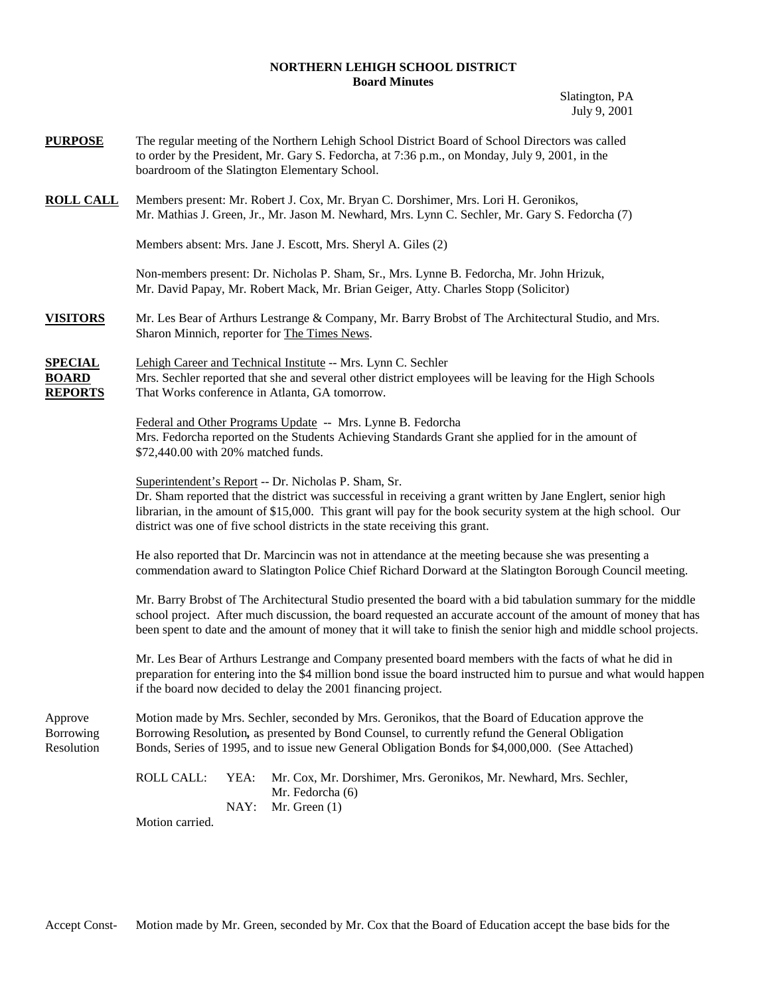## **NORTHERN LEHIGH SCHOOL DISTRICT Board Minutes**

Slatington, PA July 9, 2001

| <b>PURPOSE</b>                                   | The regular meeting of the Northern Lehigh School District Board of School Directors was called<br>to order by the President, Mr. Gary S. Fedorcha, at 7:36 p.m., on Monday, July 9, 2001, in the<br>boardroom of the Slatington Elementary School.                                                                                                                    |  |  |
|--------------------------------------------------|------------------------------------------------------------------------------------------------------------------------------------------------------------------------------------------------------------------------------------------------------------------------------------------------------------------------------------------------------------------------|--|--|
| <b>ROLL CALL</b>                                 | Members present: Mr. Robert J. Cox, Mr. Bryan C. Dorshimer, Mrs. Lori H. Geronikos,<br>Mr. Mathias J. Green, Jr., Mr. Jason M. Newhard, Mrs. Lynn C. Sechler, Mr. Gary S. Fedorcha (7)                                                                                                                                                                                 |  |  |
|                                                  | Members absent: Mrs. Jane J. Escott, Mrs. Sheryl A. Giles (2)                                                                                                                                                                                                                                                                                                          |  |  |
|                                                  | Non-members present: Dr. Nicholas P. Sham, Sr., Mrs. Lynne B. Fedorcha, Mr. John Hrizuk,<br>Mr. David Papay, Mr. Robert Mack, Mr. Brian Geiger, Atty. Charles Stopp (Solicitor)                                                                                                                                                                                        |  |  |
| <b>VISITORS</b>                                  | Mr. Les Bear of Arthurs Lestrange & Company, Mr. Barry Brobst of The Architectural Studio, and Mrs.<br>Sharon Minnich, reporter for The Times News.                                                                                                                                                                                                                    |  |  |
| <b>SPECIAL</b><br><b>BOARD</b><br><b>REPORTS</b> | Lehigh Career and Technical Institute -- Mrs. Lynn C. Sechler<br>Mrs. Sechler reported that she and several other district employees will be leaving for the High Schools<br>That Works conference in Atlanta, GA tomorrow.                                                                                                                                            |  |  |
|                                                  | Federal and Other Programs Update -- Mrs. Lynne B. Fedorcha<br>Mrs. Fedorcha reported on the Students Achieving Standards Grant she applied for in the amount of<br>\$72,440.00 with 20% matched funds.                                                                                                                                                                |  |  |
|                                                  | Superintendent's Report -- Dr. Nicholas P. Sham, Sr.<br>Dr. Sham reported that the district was successful in receiving a grant written by Jane Englert, senior high<br>librarian, in the amount of \$15,000. This grant will pay for the book security system at the high school. Our<br>district was one of five school districts in the state receiving this grant. |  |  |
|                                                  | He also reported that Dr. Marcincin was not in attendance at the meeting because she was presenting a<br>commendation award to Slatington Police Chief Richard Dorward at the Slatington Borough Council meeting.                                                                                                                                                      |  |  |
|                                                  | Mr. Barry Brobst of The Architectural Studio presented the board with a bid tabulation summary for the middle<br>school project. After much discussion, the board requested an accurate account of the amount of money that has<br>been spent to date and the amount of money that it will take to finish the senior high and middle school projects.                  |  |  |
|                                                  | Mr. Les Bear of Arthurs Lestrange and Company presented board members with the facts of what he did in<br>preparation for entering into the \$4 million bond issue the board instructed him to pursue and what would happen<br>if the board now decided to delay the 2001 financing project.                                                                           |  |  |
| Approve<br>Borrowing<br>Resolution               | Motion made by Mrs. Sechler, seconded by Mrs. Geronikos, that the Board of Education approve the<br>Borrowing Resolution, as presented by Bond Counsel, to currently refund the General Obligation<br>Bonds, Series of 1995, and to issue new General Obligation Bonds for \$4,000,000. (See Attached)                                                                 |  |  |
|                                                  | <b>ROLL CALL:</b><br>YEA:<br>Mr. Cox, Mr. Dorshimer, Mrs. Geronikos, Mr. Newhard, Mrs. Sechler,<br>Mr. Fedorcha (6)<br>NAY:<br>Mr. Green $(1)$                                                                                                                                                                                                                         |  |  |
|                                                  | Motion carried.                                                                                                                                                                                                                                                                                                                                                        |  |  |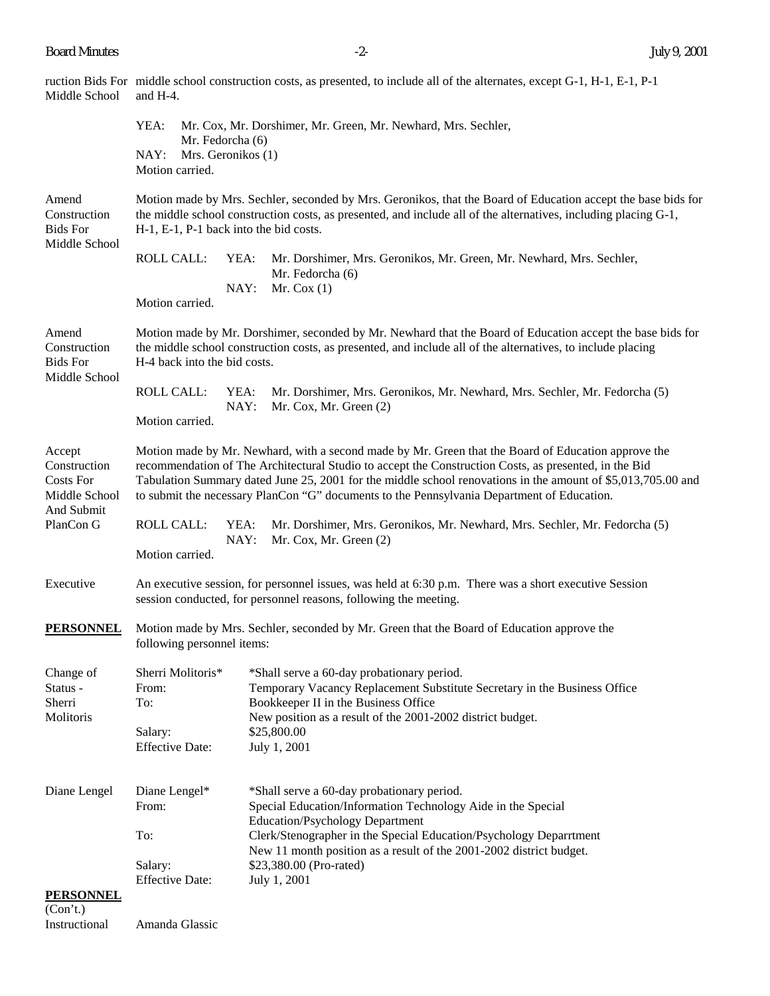| Middle School                                             | ruction Bids For middle school construction costs, as presented, to include all of the alternates, except G-1, H-1, E-1, P-1<br>and H-4.                                                                                                                                                                                                                                                                                   |  |  |  |
|-----------------------------------------------------------|----------------------------------------------------------------------------------------------------------------------------------------------------------------------------------------------------------------------------------------------------------------------------------------------------------------------------------------------------------------------------------------------------------------------------|--|--|--|
|                                                           | YEA:<br>Mr. Cox, Mr. Dorshimer, Mr. Green, Mr. Newhard, Mrs. Sechler,<br>Mr. Fedorcha (6)<br>NAY:<br>Mrs. Geronikos (1)<br>Motion carried.                                                                                                                                                                                                                                                                                 |  |  |  |
| Amend<br>Construction<br><b>Bids For</b><br>Middle School | Motion made by Mrs. Sechler, seconded by Mrs. Geronikos, that the Board of Education accept the base bids for<br>the middle school construction costs, as presented, and include all of the alternatives, including placing G-1,<br>H-1, E-1, P-1 back into the bid costs.                                                                                                                                                 |  |  |  |
|                                                           | <b>ROLL CALL:</b><br>YEA:<br>Mr. Dorshimer, Mrs. Geronikos, Mr. Green, Mr. Newhard, Mrs. Sechler,<br>Mr. Fedorcha (6)<br>NAY:<br>Mr. Cox $(1)$<br>Motion carried.                                                                                                                                                                                                                                                          |  |  |  |
| Amend<br>Construction<br><b>Bids For</b><br>Middle School | Motion made by Mr. Dorshimer, seconded by Mr. Newhard that the Board of Education accept the base bids for<br>the middle school construction costs, as presented, and include all of the alternatives, to include placing<br>H-4 back into the bid costs.                                                                                                                                                                  |  |  |  |
|                                                           | <b>ROLL CALL:</b><br>YEA:<br>Mr. Dorshimer, Mrs. Geronikos, Mr. Newhard, Mrs. Sechler, Mr. Fedorcha (5)<br>NAY:<br>Mr. Cox, Mr. Green (2)<br>Motion carried.                                                                                                                                                                                                                                                               |  |  |  |
| Accept<br>Construction<br>Costs For<br>Middle School      | Motion made by Mr. Newhard, with a second made by Mr. Green that the Board of Education approve the<br>recommendation of The Architectural Studio to accept the Construction Costs, as presented, in the Bid<br>Tabulation Summary dated June 25, 2001 for the middle school renovations in the amount of \$5,013,705.00 and<br>to submit the necessary PlanCon "G" documents to the Pennsylvania Department of Education. |  |  |  |
| And Submit<br>PlanCon G                                   | <b>ROLL CALL:</b><br>YEA:<br>Mr. Dorshimer, Mrs. Geronikos, Mr. Newhard, Mrs. Sechler, Mr. Fedorcha (5)<br>NAY:<br>Mr. Cox, Mr. Green (2)<br>Motion carried.                                                                                                                                                                                                                                                               |  |  |  |
| Executive                                                 | An executive session, for personnel issues, was held at 6:30 p.m. There was a short executive Session<br>session conducted, for personnel reasons, following the meeting.                                                                                                                                                                                                                                                  |  |  |  |
| <b>PERSONNEL</b>                                          | Motion made by Mrs. Sechler, seconded by Mr. Green that the Board of Education approve the<br>following personnel items:                                                                                                                                                                                                                                                                                                   |  |  |  |
| Change of<br>Status -<br>Sherri<br>Molitoris              | Sherri Molitoris*<br>*Shall serve a 60-day probationary period.<br>Temporary Vacancy Replacement Substitute Secretary in the Business Office<br>From:<br>Bookkeeper II in the Business Office<br>To:<br>New position as a result of the 2001-2002 district budget.<br>\$25,800.00<br>Salary:<br>July 1, 2001<br><b>Effective Date:</b>                                                                                     |  |  |  |
| Diane Lengel                                              | Diane Lengel*<br>*Shall serve a 60-day probationary period.<br>Special Education/Information Technology Aide in the Special<br>From:<br><b>Education/Psychology Department</b><br>Clerk/Stenographer in the Special Education/Psychology Deparrtment<br>To:<br>New 11 month position as a result of the 2001-2002 district budget.<br>\$23,380.00 (Pro-rated)<br>Salary:<br><b>Effective Date:</b><br>July 1, 2001         |  |  |  |
| <b>PERSONNEL</b><br>(Con't.)<br>Instructional             | Amanda Glassic                                                                                                                                                                                                                                                                                                                                                                                                             |  |  |  |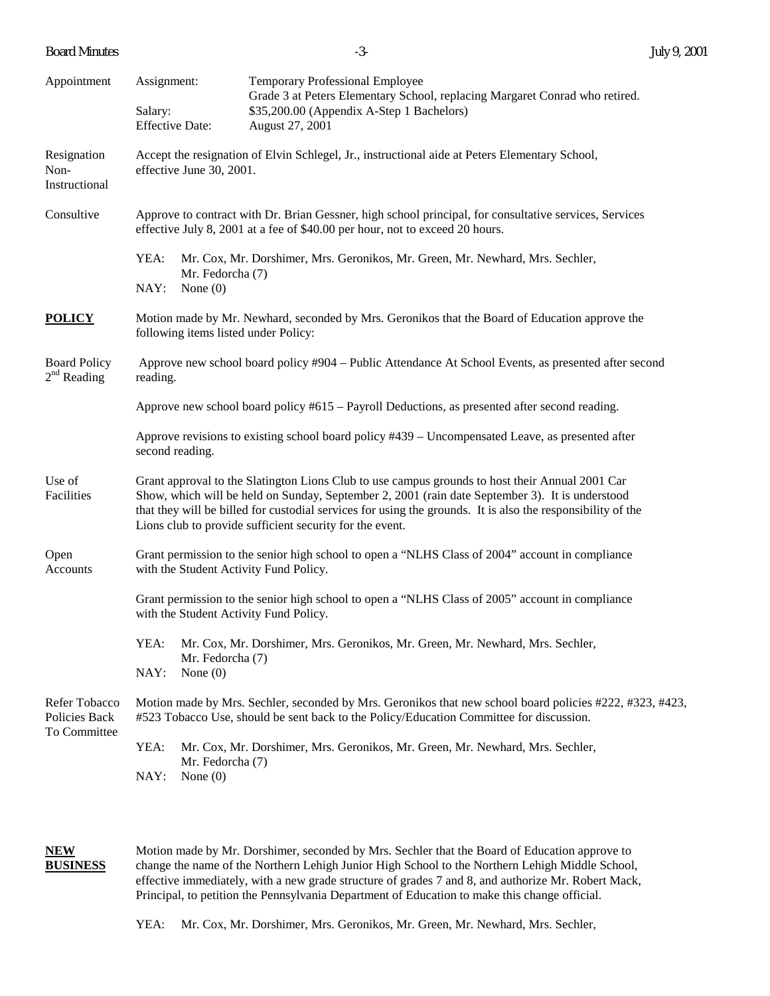Board Minutes -3- July 9, 2001

| Appointment                                    | Assignment:<br>Salary:<br><b>Effective Date:</b>                                                                                                                                                                                                                                                                                                                              | <b>Temporary Professional Employee</b><br>Grade 3 at Peters Elementary School, replacing Margaret Conrad who retired.<br>\$35,200.00 (Appendix A-Step 1 Bachelors)<br>August 27, 2001 |  |  |  |
|------------------------------------------------|-------------------------------------------------------------------------------------------------------------------------------------------------------------------------------------------------------------------------------------------------------------------------------------------------------------------------------------------------------------------------------|---------------------------------------------------------------------------------------------------------------------------------------------------------------------------------------|--|--|--|
| Resignation<br>Non-<br>Instructional           | Accept the resignation of Elvin Schlegel, Jr., instructional aide at Peters Elementary School,<br>effective June 30, 2001.                                                                                                                                                                                                                                                    |                                                                                                                                                                                       |  |  |  |
| Consultive                                     | Approve to contract with Dr. Brian Gessner, high school principal, for consultative services, Services<br>effective July 8, 2001 at a fee of \$40.00 per hour, not to exceed 20 hours.                                                                                                                                                                                        |                                                                                                                                                                                       |  |  |  |
|                                                | YEA:<br>NAY:                                                                                                                                                                                                                                                                                                                                                                  | Mr. Cox, Mr. Dorshimer, Mrs. Geronikos, Mr. Green, Mr. Newhard, Mrs. Sechler,<br>Mr. Fedorcha (7)<br>None $(0)$                                                                       |  |  |  |
| <b>POLICY</b>                                  | Motion made by Mr. Newhard, seconded by Mrs. Geronikos that the Board of Education approve the<br>following items listed under Policy:                                                                                                                                                                                                                                        |                                                                                                                                                                                       |  |  |  |
| <b>Board Policy</b><br>$2nd$ Reading           | Approve new school board policy #904 – Public Attendance At School Events, as presented after second<br>reading.                                                                                                                                                                                                                                                              |                                                                                                                                                                                       |  |  |  |
|                                                | Approve new school board policy $#615 -$ Payroll Deductions, as presented after second reading.                                                                                                                                                                                                                                                                               |                                                                                                                                                                                       |  |  |  |
|                                                | Approve revisions to existing school board policy #439 – Uncompensated Leave, as presented after<br>second reading.                                                                                                                                                                                                                                                           |                                                                                                                                                                                       |  |  |  |
| Use of<br>Facilities                           | Grant approval to the Slatington Lions Club to use campus grounds to host their Annual 2001 Car<br>Show, which will be held on Sunday, September 2, 2001 (rain date September 3). It is understood<br>that they will be billed for custodial services for using the grounds. It is also the responsibility of the<br>Lions club to provide sufficient security for the event. |                                                                                                                                                                                       |  |  |  |
| Open<br>Accounts                               |                                                                                                                                                                                                                                                                                                                                                                               | Grant permission to the senior high school to open a "NLHS Class of 2004" account in compliance<br>with the Student Activity Fund Policy.                                             |  |  |  |
|                                                | Grant permission to the senior high school to open a "NLHS Class of 2005" account in compliance<br>with the Student Activity Fund Policy.                                                                                                                                                                                                                                     |                                                                                                                                                                                       |  |  |  |
|                                                | YEA:<br>NAY:                                                                                                                                                                                                                                                                                                                                                                  | Mr. Cox, Mr. Dorshimer, Mrs. Geronikos, Mr. Green, Mr. Newhard, Mrs. Sechler,<br>Mr. Fedorcha (7)                                                                                     |  |  |  |
|                                                |                                                                                                                                                                                                                                                                                                                                                                               | None $(0)$                                                                                                                                                                            |  |  |  |
| Refer Tobacco<br>Policies Back<br>To Committee | Motion made by Mrs. Sechler, seconded by Mrs. Geronikos that new school board policies #222, #323, #423,<br>#523 Tobacco Use, should be sent back to the Policy/Education Committee for discussion.                                                                                                                                                                           |                                                                                                                                                                                       |  |  |  |
|                                                | YEA:                                                                                                                                                                                                                                                                                                                                                                          | Mr. Cox, Mr. Dorshimer, Mrs. Geronikos, Mr. Green, Mr. Newhard, Mrs. Sechler,<br>Mr. Fedorcha (7)                                                                                     |  |  |  |
|                                                | NAY:                                                                                                                                                                                                                                                                                                                                                                          | None $(0)$                                                                                                                                                                            |  |  |  |

**NEW** Motion made by Mr. Dorshimer, seconded by Mrs. Sechler that the Board of Education approve to<br> **BUSINESS** change the name of the Northern Lehigh Junior High School to the Northern Lehigh Middle School change the name of the Northern Lehigh Junior High School to the Northern Lehigh Middle School, effective immediately, with a new grade structure of grades 7 and 8, and authorize Mr. Robert Mack, Principal, to petition the Pennsylvania Department of Education to make this change official.

YEA: Mr. Cox, Mr. Dorshimer, Mrs. Geronikos, Mr. Green, Mr. Newhard, Mrs. Sechler,